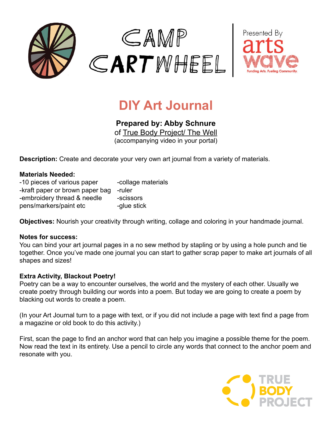



## **DIY Art Journal**

**Prepared by: Abby Schnure** o[f](http://www.wumpmucketpuppets.com/) [True Body Project/ The Well](http://www.thewell.world)

(accompanying video in your portal)

**Description:** Create and decorate your very own art journal from a variety of materials.

## **Materials Needed:**

| -10 pieces of various paper     | -collage materials |
|---------------------------------|--------------------|
| -kraft paper or brown paper bag | -ruler             |
| -embroidery thread & needle     | -scissors          |
| pens/markers/paint etc          | -glue stick        |

**Objectives:** Nourish your creativity through writing, collage and coloring in your handmade journal.

## **Notes for success:**

You can bind your art journal pages in a no sew method by stapling or by using a hole punch and tie together. Once you've made one journal you can start to gather scrap paper to make art journals of all shapes and sizes!

## **Extra Activity, Blackout Poetry!**

Poetry can be a way to encounter ourselves, the world and the mystery of each other. Usually we create poetry through building our words into a poem. But today we are going to create a poem by blacking out words to create a poem.

(In your Art Journal turn to a page with text, or if you did not include a page with text find a page from a magazine or old book to do this activity.)

First, scan the page to find an anchor word that can help you imagine a possible theme for the poem. Now read the text in its entirety. Use a pencil to circle any words that connect to the anchor poem and resonate with you.

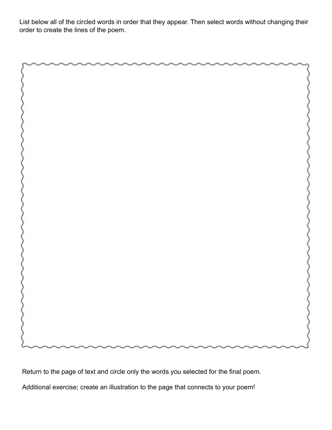List below all of the circled words in order that they appear. Then select words without changing their order to create the lines of the poem.

Return to the page of text and circle only the words you selected for the final poem.

Additional exercise; create an illustration to the page that connects to your poem!